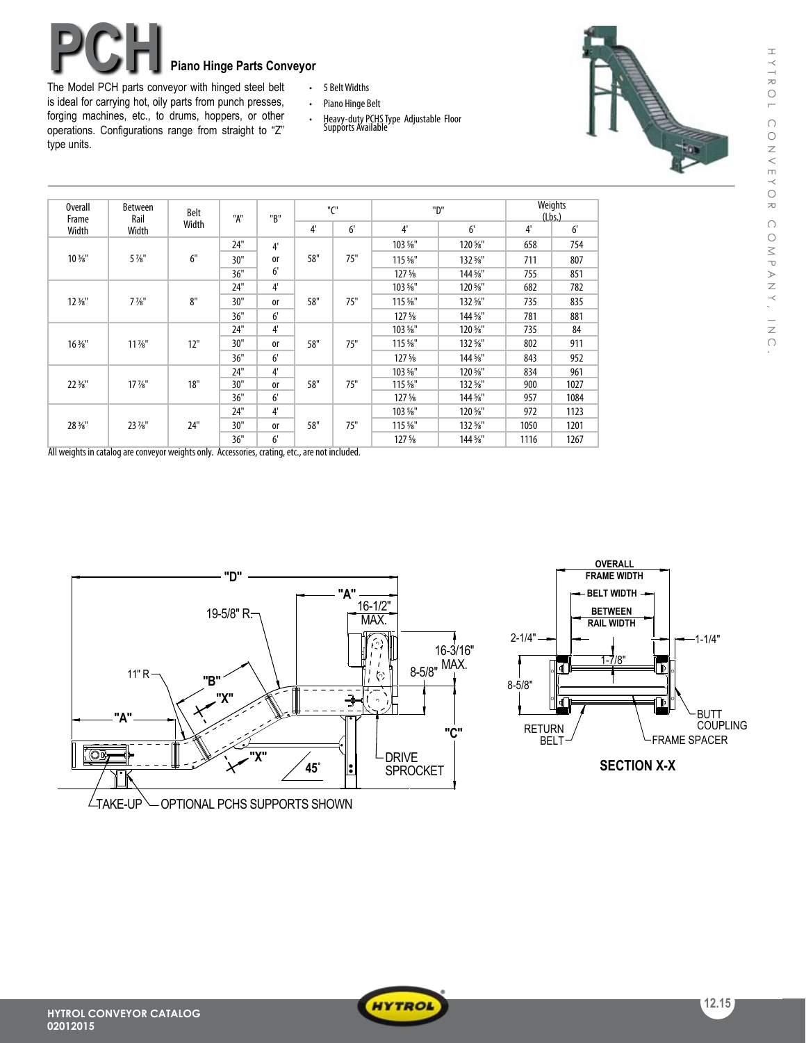**Piano Hinge Parts Conveyor** 

The Model PCH parts conveyor with hinged steel belt is ideal for carrying hot, oily parts from punch presses, forging machines, etc., to drums, hoppers, or other operations. Configurations range from straight to "Z" type units.

- • 5 BeltWidths
- • Piano Hinge Belt
- • Heavy-dutyPCHSType Adjustable Floor Supports Available



| <b>Overall</b><br>Frame<br>Width | Between<br>Rail<br>Width | Belt<br>Width | "A" | "B"            | "ר" |                | "D"                             |                    | Weights<br>(Lbs.) |      |
|----------------------------------|--------------------------|---------------|-----|----------------|-----|----------------|---------------------------------|--------------------|-------------------|------|
|                                  |                          |               |     |                | 4'  | 6 <sup>1</sup> | 4'                              | 6'                 | 4'                | 6'   |
| 10 %"                            | $5\frac{7}{8}$ "         | 6"            | 24" | $4^{\circ}$    | 58" | 75"            | 103 %"                          | 120 %"             | 658               | 754  |
|                                  |                          |               | 30" | <sub>0r</sub>  |     |                | 115 %"                          | 132 %"             | 711               | 807  |
|                                  |                          |               | 36" | 6 <sup>1</sup> |     |                | $1275$ /s                       | 144 %"             | 755               | 851  |
| $12\frac{3}{8}$ "                | $7\frac{7}{8}$ "         | 8"            | 24" | $4^{\circ}$    | 58" | 75"            | 103 %"                          | 120 %"             | 682               | 782  |
|                                  |                          |               | 30" | <sub>0r</sub>  |     |                | 115 %"                          | 132 %"             | 735               | 835  |
|                                  |                          |               | 36" | 6'             |     |                | $1275$ /s                       | 144 %"             | 781               | 881  |
|                                  | $11\frac{7}{8}$ "        | 12"           | 24" | $4^{\circ}$    | 58" | 75"            | 103 %"                          | 120 %"             | 735               | 84   |
| $16\frac{3}{8}$ "                |                          |               | 30" | <sub>0r</sub>  |     |                | 115 %"                          | 132 %"             | 802               | 911  |
|                                  |                          |               | 36" | 6'             |     |                | 127 <sub>2</sub>                | 144 %"             | 843               | 952  |
| 22 3/8"                          | $17\frac{7}{8}$ "        | 18"           | 24" | 4'             | 58" | 75"            | 103 %"                          | 120 %"             | 834               | 961  |
|                                  |                          |               | 30" | <sub>0r</sub>  |     |                | $115\%$ "                       | $132\frac{5}{8}$ " | 900               | 1027 |
|                                  |                          |               | 36" | 6'             |     |                | 127 <sup>5</sup> / <sub>8</sub> | 144 %"             | 957               | 1084 |
|                                  | $23\frac{7}{8}$ "        | 24"           | 24" | 4'             | 58" | 75"            | 103 %"                          | 120 %"             | 972               | 1123 |
| 28 3/8"                          |                          |               | 30" | <sub>0r</sub>  |     |                | 115 %"                          | 132 %"             | 1050              | 1201 |
|                                  |                          |               | 36" | 6'             |     |                | 127 <sub>2</sub>                | 144 %"             | 1116              | 1267 |

All weights in catalog are conveyor weights only. Accessories, crating, etc., are not included.